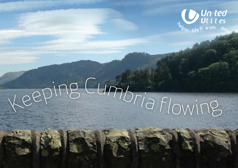

# eeping Cumbria flowing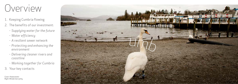

# Overview

- 1. Keeping Cumbria flowing
- 2. The benefits of our investment:
	- *Supplying water for the future*
	- *Water efficiency*
	- *A resilient sewer network*
	- *Protecting and enhancing the environment*
	- *Delivering cleaner rivers and coastline*
	- *Working together for Cumbria*
- 3. Your key contacts

*Cover: Haweswater Right: Windermere jetty*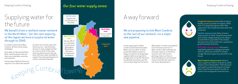# Supplying water for the future

# A way forward

### *to the rest of our network, via a major new pipeline.*

A new supply pipe for West We'd prefer to build a new pipeline<br>Cumbria would mean Ennerdale from Thirlmere reservoir to Cumbria would mean Ennerdale from Thirlmere reservoir to longer be used for drinking water reservoir and, with careful supplies while ensuring there's planning, make sure there is enough water on tap for the area's minimal long term environmental<br>households, businesses and the impact and sufficient water for



**Integrated resource zone:** likely to have a healthy surplus of water through to 2040, even if its population grows more than expected or the climate becomes drier than predicted.

requires us to reduce the amount

 $H_{\mathcal{S}}$ 

In Cumbria, particularly West of water we currently take from Cumbria, we have some unique those sources - and ultimately

> **West Cumbria resource zone:** likely to have a significant deficit of water by 2020, without action being taken. That's because we'll need to reduce the amount of water taken from the environment in order to protect this ecologically sensitive area.

### *in the North West – for the vast majority of the region we have a surplus of water through to 2040.*

**Carlisle resource zone:** likely to have a small surplus of water if population growth and climate change develop as we expect. A small deficit is possible if the climate becomes drier than predicted, or population growth exceeds forecasts.



**North Eden resource zone:** this area is supplied by plentiful underground water sources, which are resilient to climate change. We don't expect any shortfall in the future.



there, are vulnerable, sensitive

have sufficient water available to

### Keeping Cumbria flowing **Supply Curater Supply zones:** And Seeping Cumbria flowing the support of the support of the support of the support of the support of the support of the support of the support of the support of the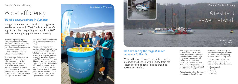

# A resilient sewer network



**A** 

### *We have one of the largest sewer networks in the UK.*

We need to invest in our sewer infrastructure in Cumbria to keep up with demand from the region's growing population and changing patterns in rainfall.

Keeping Cumbria flowing

# Water efficiency

### *'But it's always raining in Cumbria!'*

It might appear counter-intuitive to suggest we need to save water in West Cumbria, but there's logic to our plans, especially as it would be 2025 before a new supply pipeline would be ready.

We're running a campaign to promote the benefits of being more water efficient. We do this throughout the region but it now has particular importance in West Cumbria as it is likely to have a significant deficit of water, without action being taken.

To help manage the demand for water, we're focusing on water efficiency education to help change consumer behaviour. We've already run an awardwinning educational scheme in Cumbria but watch out for us over the coming months, when we will be out and about in West Cumbria talking about how to become

more water efficient in the home and garden and the benefits it brings.

We're also doing our bit by tackling leakage, using advanced computer modelling to install 'intelligent 'valves which finetune water pressure and cut the amount of water lost through leaks. This system, the first for a UK water company, was piloted in West Cumbria and is now being rolled out in other parts of our region. Initial results from the West Cumbria scheme indicate that it is already saving 25,000 litres of water an hour, which might otherwise have leaked.



Providing more capacity to be able to treat wastewater means we can better serve our customers and meet new legal obligations. Working closely with local authorities and developers, we can make sure there is adequate sewer capacity to support the development and economy of the county.

We are keen to reduce the number of customers who suffer from

internal property flooding and we will be carrying out a number of schemes in Cumbria to help alleviate sewer flooding issues.

Over the next six years, we're increasing the capacity at wastewater treatment works in:

- • Cockermouth
- • Carlisle
- • Penrith
- • Dearham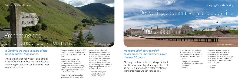# Protecting and enhancing the environment

Keeping Cumbria flowing

#### *Haweswater footpath*

## Delivering cleaner rivers and coastline Keeping Cumbria flowing



### *In Cumbria we work in some of the most beautiful landscapes.*

Lakeshore

Footpath

These are a haven for wildlife and a major driver of tourism and we are committed to continuing to look after and improve these wonderful spaces.

We are custodians of over 16,000 hectares of land in Cumbria, much of it in the Lake District National Park.

- • Yearl Weir fish pass
- • Swindale fish pass
- • Crummock Water

We work closely with the farming community to carry out sustainable catchment management activities, helping protect water quality while also returning some of the land back to its natural state.

So our customers have water, we abstract it from reservoirs,

- • A large project at both Windermere and Ambleside
- • Grasmere
- • Kendal
- • Allonby
- • Millom

lakes and rivers. Each of these abstraction points has infrastructure that may have a detrimental impact on the environment. To protect the wildlife of some of these watercourses in Cumbria, we will be carrying out a number of projects to put in eel and fish passes, such as:

### *We're proud of our record of environmental improvements over the last 20 years.*

Although we have achieved a huge amount we still have some big challenges ahead of us, new legislation and tighter treatment standards mean we can't stand still.

To help improve some of the rivers and lakes in Cumbria we are upgrading a number of wastewater treatment works including:

We're also playing our part in improving coastal waters by investing in our wastewater network and working with a range of partners to meet challenging new legislation being introduced in 2015, such as: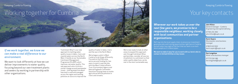

### *If we work together, we know we can make a real difference to our environment.*

We want to look differently at how we can deliver improvements to water quality, focusing beyond our own treatment plants and sewers by working in partnership with other organisations.

"Catchment Wise" is our new approach to tackling water quality issues in lakes, rivers and coastal waters across the North West. It builds on our Sustainable Catchment Management Programme (SCaMP), which improves raw water quality. This new approach aims to drive a similar change around wastewater issues – sharing expertise about how land is used and managed across the region and tackling pollution at source to improve the

quality of water in lakes, rivers and the sea in the North West.

We've begun a pilot in West Cumbria to do things differently. Focused on the Ellen area, we've secured funding for two years to work in partnership with the West Cumbria Rivers Trust, Environment Agency and Natural England's Catchment Sensitive Farming team to tackle agricultural diffuse pollution in rivers and streams.

We're now ready to look at other areas to expand this approach and, through Catchment Wise partnerships, consider all sources of pollution in a catchment so that water quality objectives can be met in the most sustainable way.

# Your key contacts

*Wherever our work takes us over the next few years, we promise to be a responsible neighbour, working closely with local communities and partner organisations.* 

We'll tap into the local supply chain, to ensure our investment generates jobs and training opportunities right here in Cumbria, and will never lose sight of the fact that our work is as much about people as it is about pipes.

### Keeping Cumbria flowing

#### **John Hilton**

*General manager - Cumbria Engineering and capital delivery* 

07765 231 392 john.hilton@uuplc.co.uk

**Ken Longshaw**  *Water area business manager* 

07775 534 186 ken.longshaw@uuplc.co.uk

**Kevin Sayers**  *Wastewater area business manager* 

07825 022 002 kevin.sayers@uuplc.co.uk

**We want to make it easy for you to work with us, here's who to contact in United Utilities on key issues:**